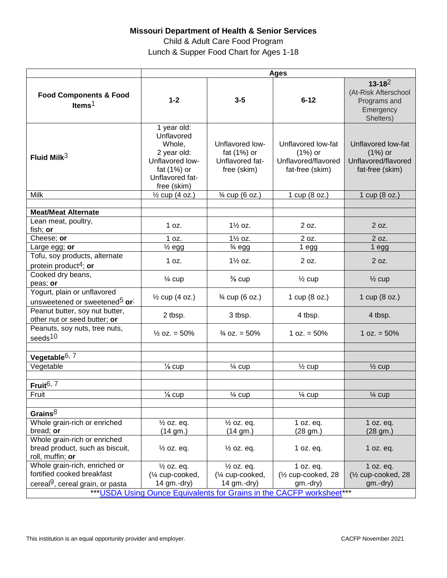## **Missouri Department of Health & Senior Services**

Child & Adult Care Food Program Lunch & Supper Food Chart for Ages 1-18

|                                                                                      | <b>Ages</b>                                                                                                            |                                                                  |                                                                           |                                                                               |
|--------------------------------------------------------------------------------------|------------------------------------------------------------------------------------------------------------------------|------------------------------------------------------------------|---------------------------------------------------------------------------|-------------------------------------------------------------------------------|
| <b>Food Components &amp; Food</b><br>Items $1$                                       | $1 - 2$                                                                                                                | $3 - 5$                                                          | $6 - 12$                                                                  | $13 - 18^2$<br>(At-Risk Afterschool<br>Programs and<br>Emergency<br>Shelters) |
| Fluid Milk $3$                                                                       | 1 year old:<br>Unflavored<br>Whole,<br>2 year old:<br>Unflavored low-<br>fat (1%) or<br>Unflavored fat-<br>free (skim) | Unflavored low-<br>fat (1%) or<br>Unflavored fat-<br>free (skim) | Unflavored low-fat<br>$(1%)$ or<br>Unflavored/flavored<br>fat-free (skim) | Unflavored low-fat<br>$(1%)$ or<br>Unflavored/flavored<br>fat-free (skim)     |
| Milk                                                                                 | $\frac{1}{2}$ cup (4 oz.)                                                                                              | 3⁄4 cup (6 oz.)                                                  | 1 cup (8 oz.)                                                             | 1 cup (8 oz.)                                                                 |
|                                                                                      |                                                                                                                        |                                                                  |                                                                           |                                                                               |
| <b>Meat/Meat Alternate</b>                                                           |                                                                                                                        |                                                                  |                                                                           |                                                                               |
| Lean meat, poultry,<br>fish; or                                                      | 1 oz.                                                                                                                  | $1\frac{1}{2}$ oz.                                               | 2 oz.                                                                     | 2 oz.                                                                         |
| Cheese; or                                                                           | 1 oz.                                                                                                                  | 1 <sup>/2</sup> oz.                                              | 2 oz.                                                                     | 2 oz.                                                                         |
| Large egg; or                                                                        | $\frac{1}{2}$ egg                                                                                                      | $\frac{3}{4}$ egg                                                | 1 egg                                                                     | 1 egg                                                                         |
| Tofu, soy products, alternate                                                        | 1 oz.                                                                                                                  | $1\frac{1}{2}$ oz.                                               | 2 oz.                                                                     | 2 oz.                                                                         |
| protein product <sup>4</sup> ; or                                                    |                                                                                                                        |                                                                  |                                                                           |                                                                               |
| Cooked dry beans,                                                                    | $\frac{1}{4}$ cup                                                                                                      | $\frac{3}{8}$ cup                                                | $\frac{1}{2}$ cup                                                         | $\frac{1}{2}$ cup                                                             |
| peas; or                                                                             |                                                                                                                        |                                                                  |                                                                           |                                                                               |
| Yogurt, plain or unflavored<br>unsweetened or sweetened <sup>5</sup> or <sup>;</sup> | $\frac{1}{2}$ cup (4 oz.)                                                                                              | 3⁄4 cup (6 oz.)                                                  | 1 cup (8 oz.)                                                             | 1 cup (8 oz.)                                                                 |
| Peanut butter, soy nut butter,<br>other nut or seed butter; or                       | 2 tbsp.                                                                                                                | 3 tbsp.                                                          | 4 tbsp.                                                                   | 4 tbsp.                                                                       |
| Peanuts, soy nuts, tree nuts,<br>seeds <sup>10</sup>                                 | $\frac{1}{2}$ oz. = 50%                                                                                                | $\frac{3}{4}$ oz. = 50%                                          | $1 oz. = 50%$                                                             | 1 oz. $= 50\%$                                                                |
|                                                                                      |                                                                                                                        |                                                                  |                                                                           |                                                                               |
| Vegetable $6, 7$                                                                     |                                                                                                                        |                                                                  |                                                                           |                                                                               |
| Vegetable                                                                            | $\frac{1}{8}$ cup                                                                                                      | $\frac{1}{4}$ cup                                                | $\frac{1}{2}$ cup                                                         | $\frac{1}{2}$ cup                                                             |
| Fruit <sup>6, 7</sup>                                                                |                                                                                                                        |                                                                  |                                                                           |                                                                               |
| Fruit                                                                                | $\frac{1}{8}$ cup                                                                                                      | $\frac{1}{4}$ cup                                                | $\frac{1}{4}$ cup                                                         | $\frac{1}{4}$ cup                                                             |
| Grains $8$                                                                           |                                                                                                                        |                                                                  |                                                                           |                                                                               |
| Whole grain-rich or enriched                                                         | $\frac{1}{2}$ oz. eq.                                                                                                  | $\frac{1}{2}$ oz. eq.                                            | 1 oz. eq.                                                                 | 1 oz. eq.                                                                     |
| bread; or                                                                            | (14 gm.)                                                                                                               | (14 gm.)                                                         | (28 gm.)                                                                  | (28 gm.)                                                                      |
| Whole grain-rich or enriched                                                         |                                                                                                                        |                                                                  |                                                                           |                                                                               |
| bread product, such as biscuit,<br>roll, muffin; or                                  | $\frac{1}{2}$ oz. eq.                                                                                                  | $\frac{1}{2}$ oz. eq.                                            | 1 oz. eq.                                                                 | 1 oz. eq.                                                                     |
| Whole grain-rich, enriched or                                                        | $\frac{1}{2}$ oz. eq.                                                                                                  | $\frac{1}{2}$ oz. eq.                                            | 1 oz. eq.                                                                 | 1 oz. eq.                                                                     |
| fortified cooked breakfast                                                           | (1/4 cup-cooked,                                                                                                       | (1/4 cup-cooked,                                                 | (1/2 cup-cooked, 28                                                       | (1/ <sub>2</sub> cup-cooked, 28                                               |
| cereal <sup>9</sup> , cereal grain, or pasta                                         | 14 gm.-dry)                                                                                                            | 14 gm.-dry)                                                      | gm.-dry)                                                                  | gm.-dry)                                                                      |
| *** USDA Using Ounce Equivalents for Grains in the CACFP worksheet***                |                                                                                                                        |                                                                  |                                                                           |                                                                               |